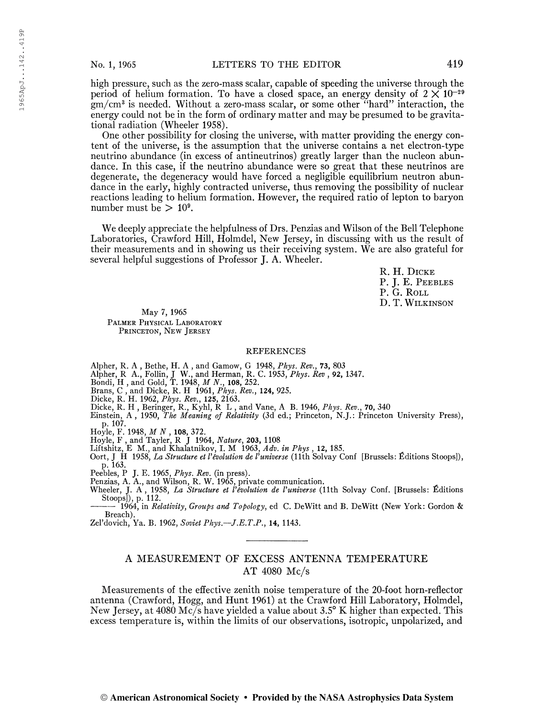high pressure, such as the zero-mass scalar, capable of speeding the universe through the period of helium formation. To have a closed space, an energy density of  $2 \times 10^{-29}$ gm/cm<sup>3</sup> is needed. Without a zero-mass scalar, or some other "hard" interaction, the energy could not be in the form of ordinary matter and may be presumed to be gravitational radiation (Wheeler 1958).

One other possibility for closing the universe, with matter providing the energy content of the universe, is the assumption that the universe contains a net electron-type neutrino abundance (in excess of antineutrinos) greatly larger than the nucleon abundance. In this case, if the neutrino abundance were so great that these neutrinos are degenerate, the degeneracy would have forced a negligible equilibrium neutron abundance in the early, highly contracted universe, thus removing the possibility of nuclear reactions leading to helium formation. However, the required ratio of lepton to baryon number must be  $> 10^9$ .

We deeply appreciate the helpfulness of Drs. Penzias and Wilson of the Bell Telephone Laboratories, Crawford Hill, Holmdel, New Jersey, in discussing with us the result of their measurements and in showing us their receiving system. We are also grateful for several helpful suggestions of Professor J. A. Wheeler.

> R. H. Dicke P. J. E. PEEBLES P. G. ROLL D. T. Wilkinson

May 7, 1965 PALMER PHYSICAL LABORATORY PRINCETON, NEW JERSEY

## REFERENCES

Alpher, R. A , Bethe, H. A , and Gamow, G 1948, *Phys. Rev.*, **73,** 803<br>Alpher, R A., Follin, J W., and Herman, R. C. 1953, *Phys. Rev* , **92,** 1347.

- 
- Bondi, H , and Gold, T. 1948, M N., 108, 252.
- Brans, C, and Dicke, R. H 1961, *Phys. Rev.*, 124, 925.
- Dicke, R. H. 1962, Phys. Rev., 125, 2163.
- 

Dicke, R. H., Beringer, R., Kyhl, R L., and Vane, A B. 1946, *Phys. Rev.*, **70,** 340<br>Einstein, A., 1950, *The Meaning of Relativity* (3d ed.; Princeton, N.J.: Princeton University Press) p. 107.

Hoyle, F. 1948,  $M$   $N$  , 108, 372.

Hoyle, F, and Tayler, R J 1964, Nature, 203, 1108

Liftshitz, E M., and Khalatnikov, I. M 1963, Adv. in Phys, 12, 185.

Oort, J H 1958, La Structure et l'évolution de l'universe (11th Solvay Conf [Brussels: Éditions Stoops]), p. 163.

Peebles, P J. E. 1965, Phys. Rev. (in press).

Penzias, A. A., and Wilson, R. W. 1965, private communication.

Wheeler, J. A., 1958, La Structure et l'évolution de l'universe (11th Solvay Conf. [Brussels: Éditions Stoops]), p. 112.

1964, in Relativity, Groups and Topology, ed C. DeWitt and B. DeWitt (New York: Gordon & Breach).

Zel'dovich, Ya. B. 1962, Soviet Phys. -- J.E.T.P., 14, 1143.

## A MEASUREMENT OF EXCESS ANTENNA TEMPERATURE AT 4080 Mc/s

Measurements of the effective zenith noise temperature of the 20-foot horn-reflector antenna (Crawford, Hogg, and Hunt 1961) at the Crawford Hill Laboratory, Holmdel, New Jersey, at 4080 Mc/s have yielded a value about 3.5° K higher than expected. This excess temperature is, within the limits of our observations, isotropic, unpolarized, and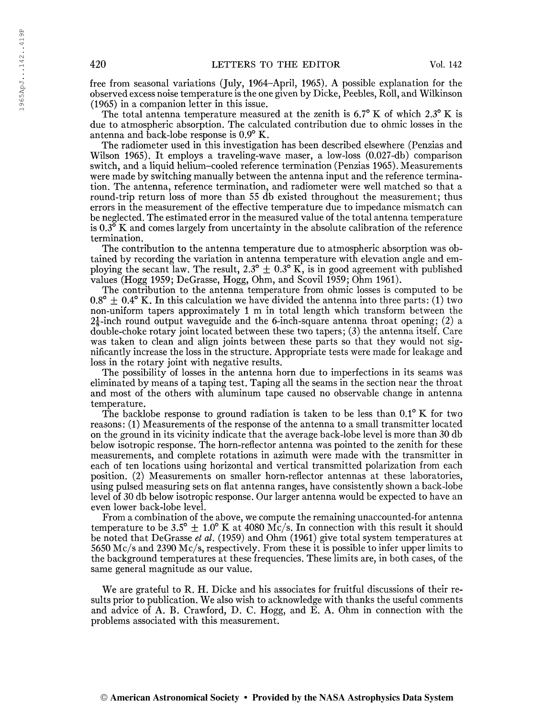free from seasonal variations (July, 1964-April, 1965). A possible explanation for the observed excess noise temperature is the one given by Dicke, Peebles, Roll, and Wilkinson (1965) in a companion letter in this issue.

The total antenna temperature measured at the zenith is  $6.7^{\circ}$  K of which 2.3° K is due to atmospheric absorption. The calculated contribution due to ohmic losses in the antenna and back-lobe response is 0.9° K.

The radiometer used in this investigation has been described elsewhere (Penzias and Wilson 1965). It employs a traveling-wave maser, a low-loss (0.027-db) comparison switch, and a liquid helium-cooled reference termination (Penzias 1965). Measurements were made by switching manually between the antenna input and the reference termination. The antenna, reference termination, and radiometer were well matched so that a round-trip return loss of more than 55 db existed throughout the measurement; thus errors in the measurement of the effective temperature due to impedance mismatch can be neglected. The estimated error in the measured value of the total antenna temperature is  $0.3^{\circ}$  K and comes largely from uncertainty in the absolute calibration of the reference termination.

The contribution to the antenna temperature due to atmospheric absorption was obtained by recording the variation in antenna temperature with elevation angle and employing the secant law. The result,  $2.3^{\circ} \pm 0.3^{\circ}$  K, is in good agreement with published values (Hogg 1959; DeGrasse, Hogg, Ohm, and Scovil 1959; Ohm 1961).

The contribution to the antenna temperature from ohmic losses is computed to be  $0.8^{\circ} \pm 0.4^{\circ}$  K. In this calculation we have divided the antenna into three parts: (1) two non-uniform tapers approximately <sup>1</sup> m in total length which transform between the  $2\frac{1}{2}$ -inch round output waveguide and the 6-inch-square antenna throat opening; (2) a double-choke rotary joint located between these two tapers; (3) the antenna itself. Care was taken to clean and align joints between these parts so that they would not significantly increase the loss in the structure. Appropriate tests were made for leakage and loss in the rotary joint with negative results.

The possibility of losses in the antenna horn due to imperfections in its seams was eliminated by means of a taping test. Taping all the seams in the section near the throat and most of the others with aluminum tape caused no observable change in antenna temperature.

The backlobe response to ground radiation is taken to be less than  $0.1^{\circ}$  K for two reasons: (1) Measurements of the response of the antenna to a small transmitter located on the ground in its vicinity indicate that the average back-lobe level is more than 30 db below isotropic response. The horn-reflector antenna was pointed to the zenith for these measurements, and complete rotations in azimuth were made with the transmitter in each of ten locations using horizontal and vertical transmitted polarization from each position. (2) Measurements on smaller horn-reflector antennas at these laboratories, using pulsed measuring sets on flat antenna ranges, have consistently shown a back-lobe level of 30 db below isotropic response. Our larger antenna would be expected to have an even lower back-lobe level.

From a combination of the above, we compute the remaining unaccounted-for antenna temperature to be 3.5°  $\pm$  1.0° K at 4080 Mc/s. In connection with this result it should be noted that DeGrasse et al. (1959) and Ohm (1961) give total system temperatures at 5650 Mc/s and 2390 Mc/s, respectively. From these it is possible to infer upper limits to the background temperatures at these frequencies. These limits are, in both cases, of the same general magnitude as our value.

We are grateful to R. H. Dicke and his associates for fruitful discussions of their results prior to publication. We also wish to acknowledge with thanks the useful comments and advice of A. B. Crawford, D. C. Hogg, and E. A. Ohm in connection with the problems associated with this measurement.